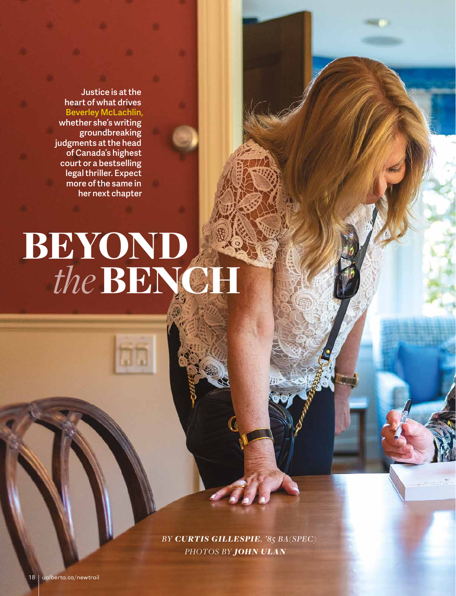Justice is at the heart of what drives Beverley McLachlin, whether she's writing groundbreaking judgments at the head of Canada's highest court or a bestselling legal thriller. Expect more of the same in her next chapter

# *the*BENCH BEYOND

*PHOTOS BY JOHN ULAN BY CURTIS GILLESPIE, '85 BA(SPEC)*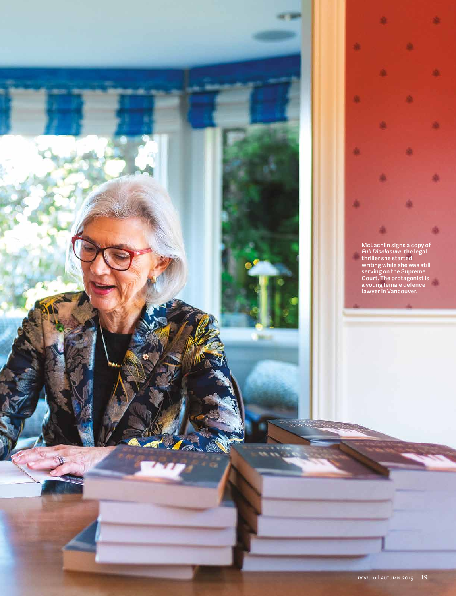

McLachlin signs a copy of *Full Disclosure*, the legal thriller she started writing while she was still serving on the Supreme Court. The protagonist is a young female defence lawyer in Vancouver.

曲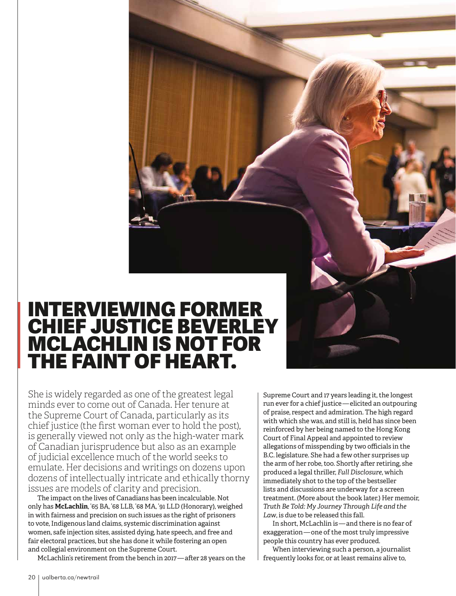### INTERVIEWING FORMER CHIEF JUSTICE BEVERLEY MCLACHLIN IS NOT FOR THE FAINT OF HEART.

She is widely regarded as one of the greatest legal minds ever to come out of Canada. Her tenure at the Supreme Court of Canada, particularly as its chief justice (the first woman ever to hold the post), is generally viewed not only as the high-water mark of Canadian jurisprudence but also as an example of judicial excellence much of the world seeks to emulate. Her decisions and writings on dozens upon dozens of intellectually intricate and ethically thorny issues are models of clarity and precision.

The impact on the lives of Canadians has been incalculable. Not only has **McLachlin**, '65 BA, '68 LLB, '68 MA, '91 LLD (Honorary), weighed in with fairness and precision on such issues as the right of prisoners to vote, Indigenous land claims, systemic discrimination against women, safe injection sites, assisted dying, hate speech, and free and fair electoral practices, but she has done it while fostering an open and collegial environment on the Supreme Court.

McLachlin's retirement from the bench in 2017 — after 28 years on the

Supreme Court and 17 years leading it, the longest run ever for a chief justice — elicited an outpouring of praise, respect and admiration. The high regard with which she was, and still is, held has since been reinforced by her being named to the Hong Kong Court of Final Appeal and appointed to review allegations of misspending by two officials in the B.C. legislature. She had a few other surprises up the arm of her robe, too. Shortly after retiring, she produced a legal thriller, *Full Disclosure*, which immediately shot to the top of the bestseller lists and discussions are underway for a screen treatment. (More about the book later.) Her memoir, *Truth Be Told: My Journey Through Life and the Law*, is due to be released this fall.

In short, McLachlin is — and there is no fear of exaggeration — one of the most truly impressive people this country has ever produced.

When interviewing such a person, a journalist frequently looks for, or at least remains alive to,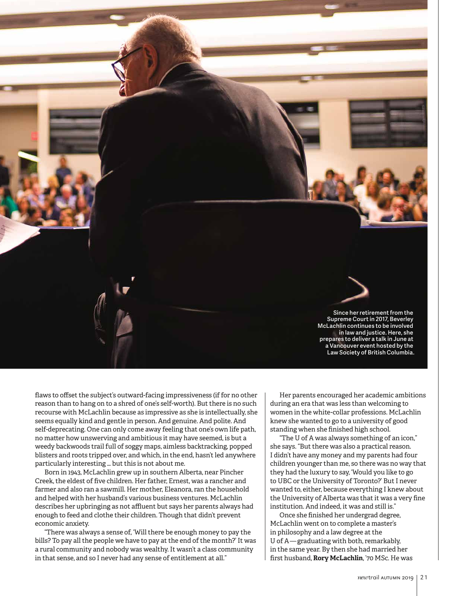

flaws to offset the subject's outward-facing impressiveness (if for no other reason than to hang on to a shred of one's self-worth). But there is no such recourse with McLachlin because as impressive as she is intellectually, she seems equally kind and gentle in person. And genuine. And polite. And self-deprecating. One can only come away feeling that one's own life path, no matter how unswerving and ambitious it may have seemed, is but a weedy backwoods trail full of soggy maps, aimless backtracking, popped blisters and roots tripped over, and which, in the end, hasn't led anywhere particularly interesting … but this is not about me.

Born in 1943, McLachlin grew up in southern Alberta, near Pincher Creek, the eldest of five children. Her father, Ernest, was a rancher and farmer and also ran a sawmill. Her mother, Eleanora, ran the household and helped with her husband's various business ventures. McLachlin describes her upbringing as not affluent but says her parents always had enough to feed and clothe their children. Though that didn't prevent economic anxiety.

"There was always a sense of, 'Will there be enough money to pay the bills? To pay all the people we have to pay at the end of the month?' It was a rural community and nobody was wealthy. It wasn't a class community in that sense, and so I never had any sense of entitlement at all."

Her parents encouraged her academic ambitions during an era that was less than welcoming to women in the white-collar professions. McLachlin knew she wanted to go to a university of good standing when she finished high school.

"The U of A was always something of an icon," she says. "But there was also a practical reason. I didn't have any money and my parents had four children younger than me, so there was no way that they had the luxury to say, 'Would you like to go to UBC or the University of Toronto?' But I never wanted to, either, because everything I knew about the University of Alberta was that it was a very fine institution. And indeed, it was and still is."

Once she finished her undergrad degree, McLachlin went on to complete a master's in philosophy and a law degree at the U of A — graduating with both, remarkably, in the same year. By then she had married her first husband, **Rory McLachlin**, '70 MSc. He was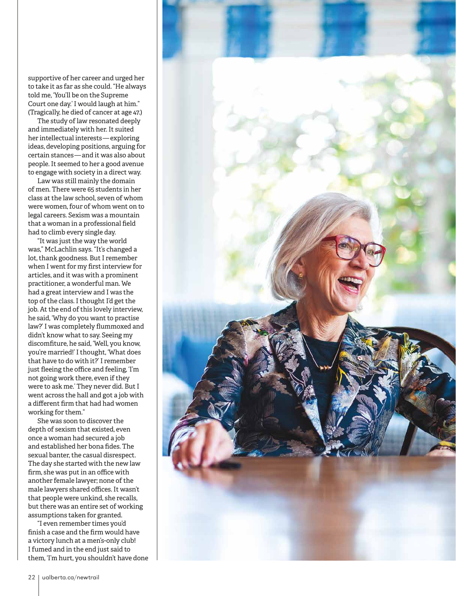supportive of her career and urged her to take it as far as she could. "He always told me, 'You'll be on the Supreme Court one day.' I would laugh at him." (Tragically, he died of cancer at age 47.)

The study of law resonated deeply and immediately with her. It suited her intellectual interests — exploring ideas, developing positions, arguing for certain stances — and it was also about people. It seemed to her a good avenue to engage with society in a direct way.

Law was still mainly the domain of men. There were 65 students in her class at the law school, seven of whom were women, four of whom went on to legal careers. Sexism was a mountain that a woman in a professional field had to climb every single day.

"It was just the way the world was," McLachlin says. "It's changed a lot, thank goodness. But I remember when I went for my first interview for articles, and it was with a prominent practitioner, a wonderful man. We had a great interview and I was the top of the class. I thought I'd get the job. At the end of this lovely interview, he said, 'Why do you want to practise law?' I was completely flummoxed and didn't know what to say. Seeing my discomfiture, he said, 'Well, you know, you're married!' I thought, 'What does that have to do with it?' I remember just fleeing the office and feeling, 'I'm not going work there, even if they were to ask me.' They never did. But I went across the hall and got a job with a different firm that had had women working for them."

She was soon to discover the depth of sexism that existed, even once a woman had secured a job and established her bona fides. The sexual banter, the casual disrespect. The day she started with the new law firm, she was put in an office with another female lawyer; none of the male lawyers shared offices. It wasn't that people were unkind, she recalls, but there was an entire set of working assumptions taken for granted.

"I even remember times you'd finish a case and the firm would have a victory lunch at a men's-only club! I fumed and in the end just said to them, 'I'm hurt, you shouldn't have done

![](_page_4_Picture_6.jpeg)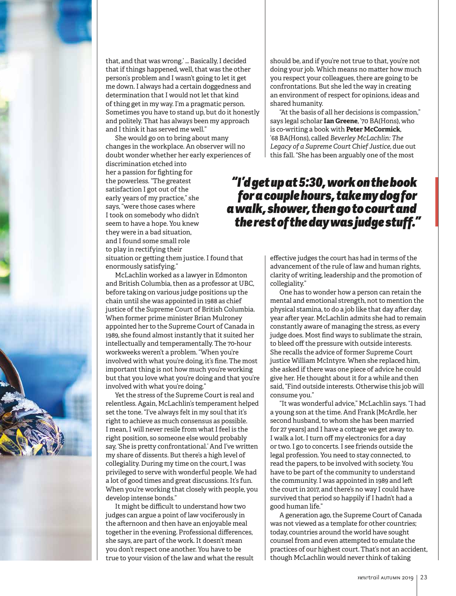![](_page_5_Picture_0.jpeg)

that, and that was wrong.' … Basically, I decided that if things happened, well, that was the other person's problem and I wasn't going to let it get me down. I always had a certain doggedness and determination that I would not let that kind of thing get in my way. I'm a pragmatic person. Sometimes you have to stand up, but do it honestly and politely. That has always been my approach and I think it has served me well."

She would go on to bring about many changes in the workplace. An observer will no doubt wonder whether her early experiences of

discrimination etched into her a passion for fighting for the powerless. "The greatest satisfaction I got out of the early years of my practice," she says, "were those cases where I took on somebody who didn't seem to have a hope. You knew they were in a bad situation, and I found some small role to play in rectifying their

situation or getting them justice. I found that enormously satisfying."

McLachlin worked as a lawyer in Edmonton and British Columbia, then as a professor at UBC, before taking on various judge positions up the chain until she was appointed in 1988 as chief justice of the Supreme Court of British Columbia. When former prime minister Brian Mulroney appointed her to the Supreme Court of Canada in 1989, she found almost instantly that it suited her intellectually and temperamentally. The 70-hour workweeks weren't a problem. "When you're involved with what you're doing, it's fine. The most important thing is not how much you're working but that you love what you're doing and that you're involved with what you're doing."

Yet the stress of the Supreme Court is real and relentless. Again, McLachlin's temperament helped set the tone. "I've always felt in my soul that it's right to achieve as much consensus as possible. I mean, I will never resile from what I feel is the right position, so someone else would probably say, 'She is pretty confrontational.' And I've written my share of dissents. But there's a high level of collegiality. During my time on the court, I was privileged to serve with wonderful people. We had a lot of good times and great discussions. It's fun. When you're working that closely with people, you develop intense bonds."

It might be difficult to understand how two judges can argue a point of law vociferously in the afternoon and then have an enjoyable meal together in the evening. Professional differences, she says, are part of the work. It doesn't mean you don't respect one another. You have to be true to your vision of the law and what the result

should be, and if you're not true to that, you're not doing your job. Which means no matter how much you respect your colleagues, there are going to be confrontations. But she led the way in creating an environment of respect for opinions, ideas and shared humanity.

"At the basis of all her decisions is compassion," says legal scholar **Ian Greene**, '70 BA(Hons), who is co-writing a book with **Peter McCormick**, '68 BA(Hons), called *Beverley McLachlin: The Legacy of a Supreme Court Chief Justice*, due out this fall. "She has been arguably one of the most

#### *"I'd get up at 5:30, work on the book for a couple hours, take my dog for a walk, shower, then go to court and the rest of the day was judge stuff."*

effective judges the court has had in terms of the advancement of the rule of law and human rights, clarity of writing, leadership and the promotion of collegiality."

One has to wonder how a person can retain the mental and emotional strength, not to mention the physical stamina, to do a job like that day after day, year after year. McLachlin admits she had to remain constantly aware of managing the stress, as every judge does. Most find ways to sublimate the strain, to bleed off the pressure with outside interests. She recalls the advice of former Supreme Court justice William McIntyre. When she replaced him, she asked if there was one piece of advice he could give her. He thought about it for a while and then said, "Find outside interests. Otherwise this job will consume you."

"It was wonderful advice," McLachlin says. "I had a young son at the time. And Frank [McArdle, her second husband, to whom she has been married for 27 years] and I have a cottage we get away to. I walk a lot. I turn off my electronics for a day or two. I go to concerts. I see friends outside the legal profession. You need to stay connected, to read the papers, to be involved with society. You have to be part of the community to understand the community. I was appointed in 1989 and left the court in 2017, and there's no way I could have survived that period so happily if I hadn't had a good human life."

A generation ago, the Supreme Court of Canada was not viewed as a template for other countries; today, countries around the world have sought counsel from and even attempted to emulate the practices of our highest court. That's not an accident, though McLachlin would never think of taking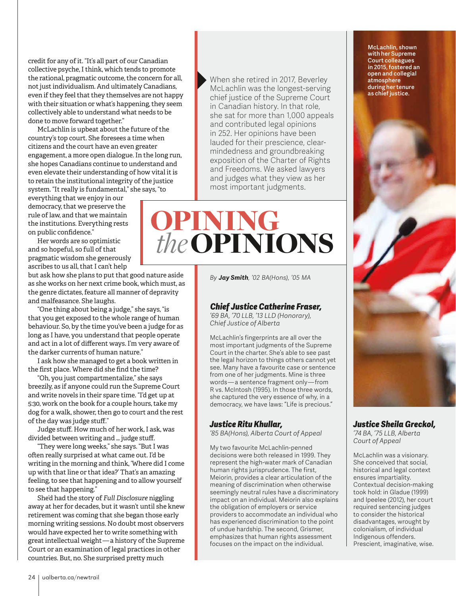credit for any of it. "It's all part of our Canadian collective psyche, I think, which tends to promote the rational, pragmatic outcome, the concern for all, not just individualism. And ultimately Canadians, even if they feel that they themselves are not happy with their situation or what's happening, they seem collectively able to understand what needs to be done to move forward together."

McLachlin is upbeat about the future of the country's top court. She foresees a time when citizens and the court have an even greater engagement, a more open dialogue. In the long run, she hopes Canadians continue to understand and even elevate their understanding of how vital it is to retain the institutional integrity of the justice system. "It really is fundamental," she says, "to

everything that we enjoy in our democracy, that we preserve the rule of law, and that we maintain the institutions. Everything rests on public confidence."

Her words are so optimistic and so hopeful, so full of that pragmatic wisdom she generously ascribes to us all, that I can't help

but ask how she plans to put that good nature aside as she works on her next crime book, which must, as the genre dictates, feature all manner of depravity and malfeasance. She laughs.

"One thing about being a judge," she says, "is that you get exposed to the whole range of human behaviour. So, by the time you've been a judge for as long as I have, you understand that people operate and act in a lot of different ways. I'm very aware of the darker currents of human nature."

I ask how she managed to get a book written in the first place. Where did she find the time?

"Oh, you just compartmentalize," she says breezily, as if anyone could run the Supreme Court and write novels in their spare time. "I'd get up at 5:30, work on the book for a couple hours, take my dog for a walk, shower, then go to court and the rest of the day was judge stuff."

Judge stuff. How much of her work, I ask, was divided between writing and … judge stuff.

"They were long weeks," she says. "But I was often really surprised at what came out. I'd be writing in the morning and think, 'Where did I come up with that line or that idea?' That's an amazing feeling, to see that happening and to allow yourself to see that happening."

She'd had the story of *Full Disclosure* niggling away at her for decades, but it wasn't until she knew retirement was coming that she began those early morning writing sessions. No doubt most observers would have expected her to write something with great intellectual weight — a history of the Supreme Court or an examination of legal practices in other countries. But, no. She surprised pretty much

When she retired in 2017, Beverley McLachlin was the longest-serving chief justice of the Supreme Court in Canadian history. In that role, she sat for more than 1,000 appeals and contributed legal opinions in 252. Her opinions have been lauded for their prescience, clearmindedness and groundbreaking exposition of the Charter of Rights and Freedoms. We asked lawyers and judges what they view as her most important judgments.

## OPINING  *the*OPINIONS

*By Jay Smith, '02 BA(Hons), '05 MA*

#### *Chief Justice Catherine Fraser,*

*'69 BA, '70 LLB, '13 LLD (Honorary), Chief Justice of Alberta*

McLachlin's fingerprints are all over the most important judgments of the Supreme Court in the charter. She's able to see past the legal horizon to things others cannot yet see. Many have a favourite case or sentence from one of her judgments. Mine is three words — a sentence fragment only — from R vs. McIntosh (1995). In those three words, she captured the very essence of why, in a democracy, we have laws: "Life is precious."

#### *Justice Ritu Khullar,*

*'85 BA(Hons), Alberta Court of Appeal*

My two favourite McLachlin-penned decisions were both released in 1999. They represent the high-water mark of Canadian human rights jurisprudence. The first, Meiorin, provides a clear articulation of the meaning of discrimination when otherwise seemingly neutral rules have a discriminatory impact on an individual. Meiorin also explains the obligation of employers or service providers to accommodate an individual who has experienced discrimination to the point of undue hardship. The second, Grismer, emphasizes that human rights assessment focuses on the impact on the individual.

McLachlin, shown with her Supreme Court colleagues in 2015, fostered an open and collegial atmosphere during her tenure as chief justice.

![](_page_6_Picture_21.jpeg)

*'74 BA, '75 LLB, Alberta Court of Appeal*

McLachlin was a visionary. She conceived that social, historical and legal context ensures impartiality. Contextual decision-making took hold: in Gladue (1999) and Ipeelee (2012), her court required sentencing judges to consider the historical disadvantages, wrought by colonialism, of individual Indigenous offenders. Prescient, imaginative, wise.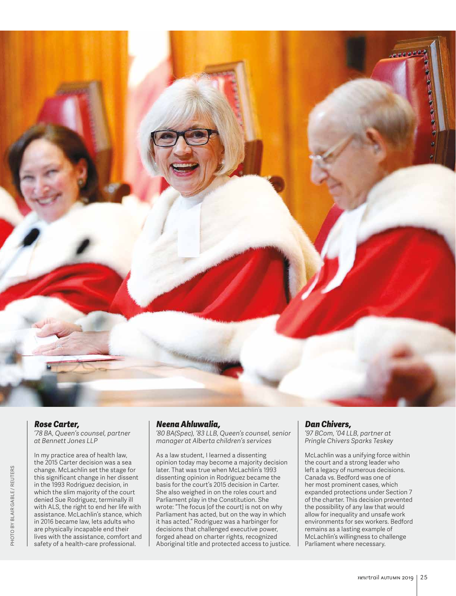![](_page_7_Picture_0.jpeg)

#### *Rose Carter,*

*'78 BA, Queen's counsel, partner at Bennett Jones LLP*

In my practice area of health law, the 2015 Carter decision was a sea change. McLachlin set the stage for this significant change in her dissent in the 1993 Rodriguez decision, in which the slim majority of the court denied Sue Rodriguez, terminally ill with ALS, the right to end her life with assistance. McLachlin's stance, which in 2016 became law, lets adults who are physically incapable end their lives with the assistance, comfort and safety of a health-care professional.

#### *Neena Ahluwalia,*

*'80 BA(Spec), '83 LLB, Queen's counsel, senior manager at Alberta children's services*

As a law student, I learned a dissenting opinion today may become a majority decision later. That was true when McLachlin's 1993 dissenting opinion in Rodriguez became the basis for the court's 2015 decision in Carter. She also weighed in on the roles court and Parliament play in the Constitution. She wrote: "The focus [of the court] is not on why Parliament has acted, but on the way in which it has acted." Rodriguez was a harbinger for decisions that challenged executive power, forged ahead on charter rights, recognized Aboriginal title and protected access to justice.

#### *Dan Chivers,*

*'97 BCom, '04 LLB, partner at Pringle Chivers Sparks Teskey*

McLachlin was a unifying force within the court and a strong leader who left a legacy of numerous decisions. Canada vs. Bedford was one of her most prominent cases, which expanded protections under Section 7 of the charter. This decision prevented the possibility of any law that would allow for inequality and unsafe work environments for sex workers. Bedford remains as a lasting example of McLachlin's willingness to challenge Parliament where necessary.